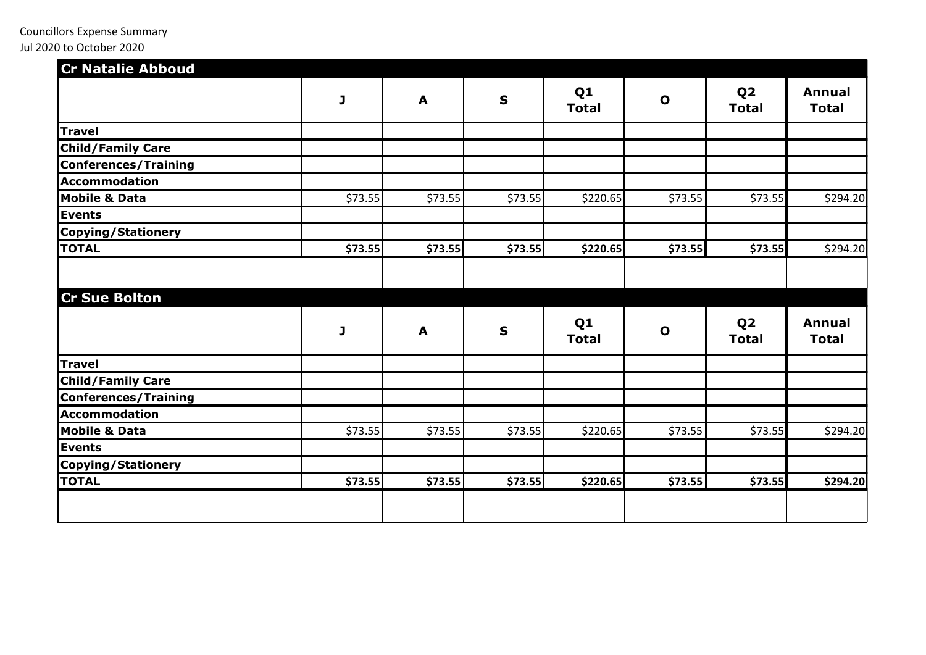| <b>Cr Natalie Abboud</b>    |         |         |             |                                |              |                                |                               |
|-----------------------------|---------|---------|-------------|--------------------------------|--------------|--------------------------------|-------------------------------|
|                             | J       | A       | $\mathbf S$ | Q <sub>1</sub><br><b>Total</b> | $\mathbf 0$  | Q <sub>2</sub><br><b>Total</b> | <b>Annual</b><br><b>Total</b> |
| <b>Travel</b>               |         |         |             |                                |              |                                |                               |
| <b>Child/Family Care</b>    |         |         |             |                                |              |                                |                               |
| <b>Conferences/Training</b> |         |         |             |                                |              |                                |                               |
| <b>Accommodation</b>        |         |         |             |                                |              |                                |                               |
| <b>Mobile &amp; Data</b>    | \$73.55 | \$73.55 | \$73.55     | \$220.65                       | \$73.55      | \$73.55                        | \$294.20                      |
| Events                      |         |         |             |                                |              |                                |                               |
| <b>Copying/Stationery</b>   |         |         |             |                                |              |                                |                               |
| <b>TOTAL</b>                | \$73.55 | \$73.55 | \$73.55     | \$220.65                       | \$73.55      | \$73.55                        | \$294.20                      |
|                             |         |         |             |                                |              |                                |                               |
| <b>Cr Sue Bolton</b>        |         |         |             |                                |              |                                |                               |
|                             | J       | A       | $\mathbf S$ | Q <sub>1</sub><br><b>Total</b> | $\mathbf{o}$ | Q <sub>2</sub><br><b>Total</b> | <b>Annual</b><br><b>Total</b> |
| <b>Travel</b>               |         |         |             |                                |              |                                |                               |
| <b>Child/Family Care</b>    |         |         |             |                                |              |                                |                               |
| Conferences/Training        |         |         |             |                                |              |                                |                               |
| <b>Accommodation</b>        |         |         |             |                                |              |                                |                               |
| <b>Mobile &amp; Data</b>    | \$73.55 | \$73.55 | \$73.55     | \$220.65                       | \$73.55      | \$73.55                        | \$294.20                      |
| <b>Events</b>               |         |         |             |                                |              |                                |                               |
| <b>Copying/Stationery</b>   |         |         |             |                                |              |                                |                               |
| <b>TOTAL</b>                | \$73.55 | \$73.55 | \$73.55     | \$220.65                       | \$73.55      | \$73.55                        | \$294.20                      |
|                             |         |         |             |                                |              |                                |                               |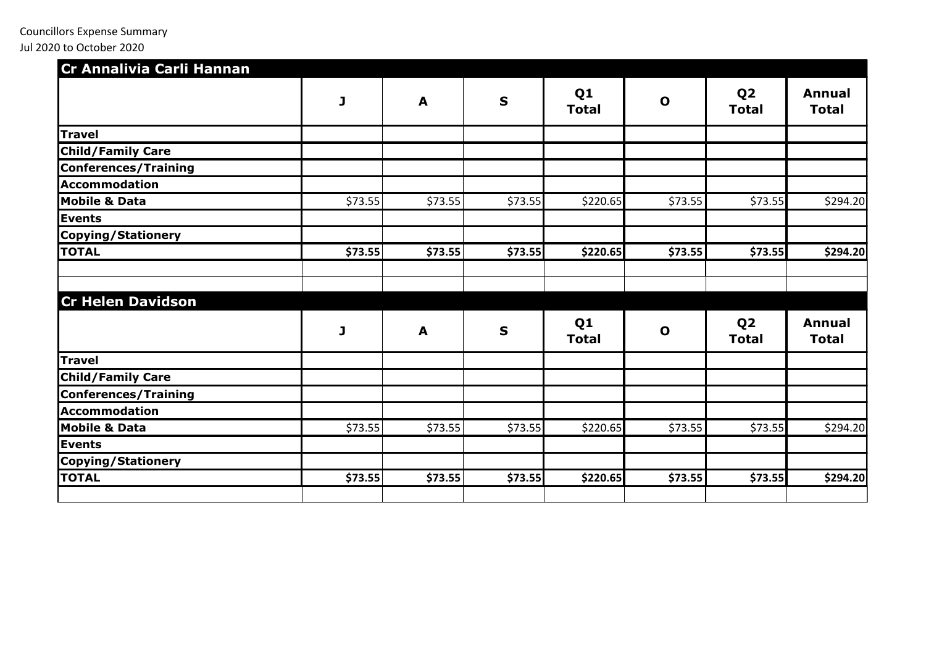| Cr Annalivia Carli Hannan   |         |         |             |                                |              |                                |                               |
|-----------------------------|---------|---------|-------------|--------------------------------|--------------|--------------------------------|-------------------------------|
|                             | J       | A       | $\mathbf S$ | Q <sub>1</sub><br><b>Total</b> | $\mathbf 0$  | Q <sub>2</sub><br><b>Total</b> | <b>Annual</b><br><b>Total</b> |
| <b>Travel</b>               |         |         |             |                                |              |                                |                               |
| <b>Child/Family Care</b>    |         |         |             |                                |              |                                |                               |
| <b>Conferences/Training</b> |         |         |             |                                |              |                                |                               |
| Accommodation               |         |         |             |                                |              |                                |                               |
| <b>Mobile &amp; Data</b>    | \$73.55 | \$73.55 | \$73.55     | \$220.65                       | \$73.55      | \$73.55                        | \$294.20                      |
| Events                      |         |         |             |                                |              |                                |                               |
| Copying/Stationery          |         |         |             |                                |              |                                |                               |
| <b>TOTAL</b>                | \$73.55 | \$73.55 | \$73.55     | \$220.65                       | \$73.55      | \$73.55                        | \$294.20                      |
| <b>Cr Helen Davidson</b>    |         |         |             |                                |              |                                |                               |
|                             | J       | A       | $\mathbf S$ | Q <sub>1</sub><br><b>Total</b> | $\mathbf{o}$ | Q <sub>2</sub><br><b>Total</b> | <b>Annual</b><br><b>Total</b> |
| <b>Travel</b>               |         |         |             |                                |              |                                |                               |
| <b>Child/Family Care</b>    |         |         |             |                                |              |                                |                               |
| Conferences/Training        |         |         |             |                                |              |                                |                               |
| <b>Accommodation</b>        |         |         |             |                                |              |                                |                               |
| <b>Mobile &amp; Data</b>    | \$73.55 | \$73.55 | \$73.55     | \$220.65                       | \$73.55      | \$73.55                        | \$294.20                      |
| <b>Events</b>               |         |         |             |                                |              |                                |                               |
| Copying/Stationery          |         |         |             |                                |              |                                |                               |
| <b>TOTAL</b>                | \$73.55 | \$73.55 | \$73.55     | \$220.65                       | \$73.55      | \$73.55                        | \$294.20                      |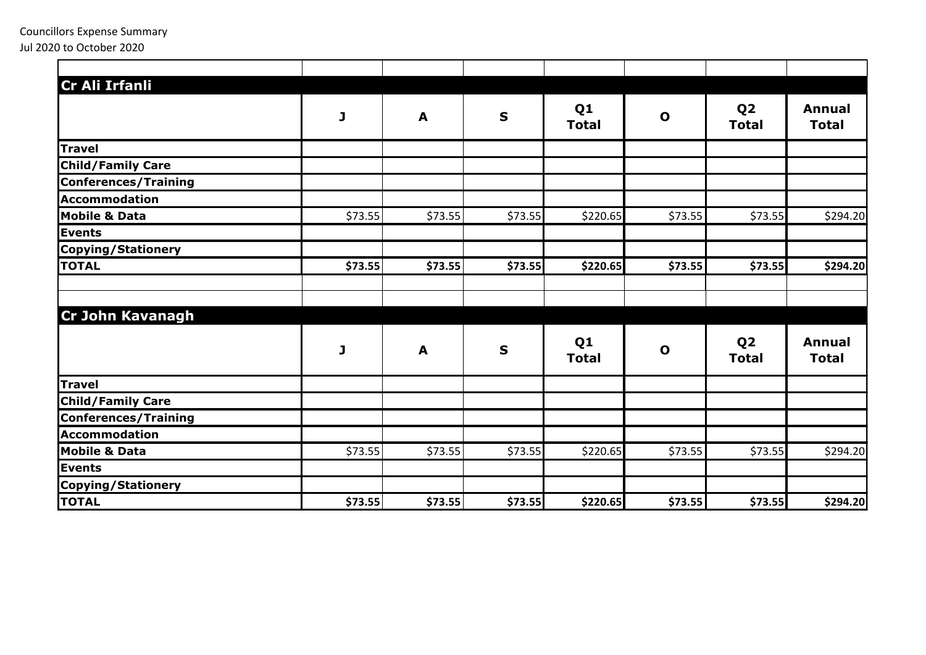| Cr Ali Irfanli              |         |         |             |                                |              |                                |                               |
|-----------------------------|---------|---------|-------------|--------------------------------|--------------|--------------------------------|-------------------------------|
|                             | J       | A       | $\mathbf S$ | Q <sub>1</sub><br><b>Total</b> | $\mathbf 0$  | Q <sub>2</sub><br><b>Total</b> | <b>Annual</b><br><b>Total</b> |
| <b>Travel</b>               |         |         |             |                                |              |                                |                               |
| <b>Child/Family Care</b>    |         |         |             |                                |              |                                |                               |
| <b>Conferences/Training</b> |         |         |             |                                |              |                                |                               |
| <b>Accommodation</b>        |         |         |             |                                |              |                                |                               |
| <b>Mobile &amp; Data</b>    | \$73.55 | \$73.55 | \$73.55     | \$220.65                       | \$73.55      | \$73.55                        | \$294.20                      |
| <b>Events</b>               |         |         |             |                                |              |                                |                               |
| <b>Copying/Stationery</b>   |         |         |             |                                |              |                                |                               |
| <b>TOTAL</b>                | \$73.55 | \$73.55 | \$73.55     | \$220.65                       | \$73.55      | \$73.55                        | \$294.20                      |
|                             |         |         |             |                                |              |                                |                               |
| Cr John Kavanagh            |         |         |             |                                |              |                                |                               |
|                             | J       | A       | $\mathbf S$ | Q <sub>1</sub><br><b>Total</b> | $\mathbf{o}$ | Q <sub>2</sub><br><b>Total</b> | <b>Annual</b><br><b>Total</b> |
| <b>Travel</b>               |         |         |             |                                |              |                                |                               |
| <b>Child/Family Care</b>    |         |         |             |                                |              |                                |                               |
| <b>Conferences/Training</b> |         |         |             |                                |              |                                |                               |
| <b>Accommodation</b>        |         |         |             |                                |              |                                |                               |
| <b>Mobile &amp; Data</b>    | \$73.55 | \$73.55 | \$73.55     | \$220.65                       | \$73.55      | \$73.55                        | \$294.20                      |
| Events                      |         |         |             |                                |              |                                |                               |
| <b>Copying/Stationery</b>   |         |         |             |                                |              |                                |                               |
| <b>TOTAL</b>                | \$73.55 | \$73.55 | \$73.55     | \$220.65                       | \$73.55      | \$73.55                        | \$294.20                      |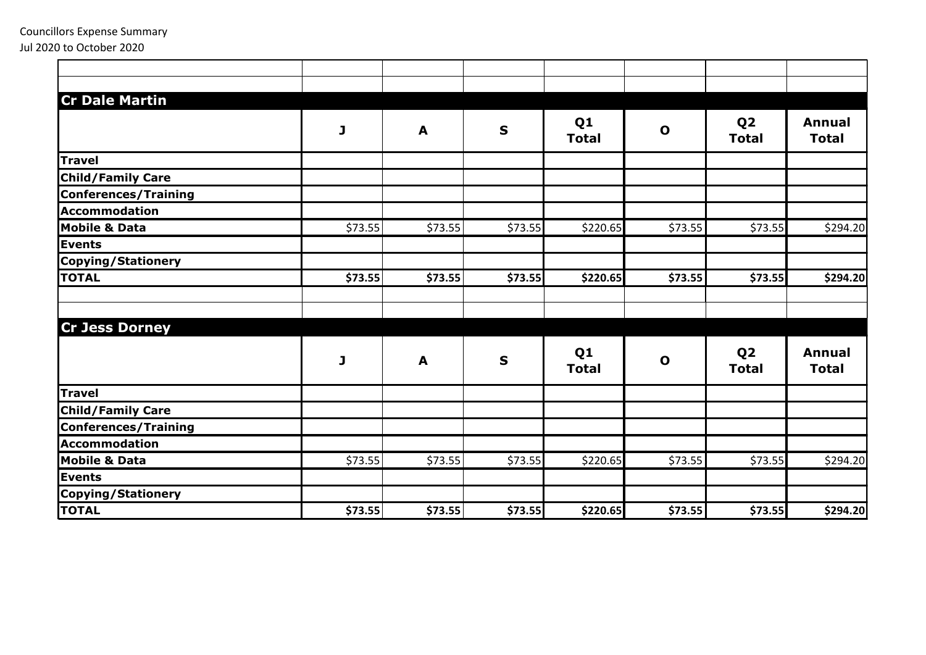| <b>Cr Dale Martin</b>       |         |         |             |                                |              |                                |                               |
|-----------------------------|---------|---------|-------------|--------------------------------|--------------|--------------------------------|-------------------------------|
|                             | J       | A       | $\mathbf S$ | Q <sub>1</sub><br><b>Total</b> | $\mathbf{o}$ | Q <sub>2</sub><br><b>Total</b> | <b>Annual</b><br><b>Total</b> |
| <b>Travel</b>               |         |         |             |                                |              |                                |                               |
| <b>Child/Family Care</b>    |         |         |             |                                |              |                                |                               |
| <b>Conferences/Training</b> |         |         |             |                                |              |                                |                               |
| Accommodation               |         |         |             |                                |              |                                |                               |
| <b>Mobile &amp; Data</b>    | \$73.55 | \$73.55 | \$73.55     | \$220.65                       | \$73.55      | \$73.55                        | \$294.20                      |
| <b>Events</b>               |         |         |             |                                |              |                                |                               |
| <b>Copying/Stationery</b>   |         |         |             |                                |              |                                |                               |
| <b>TOTAL</b>                | \$73.55 | \$73.55 | \$73.55     | \$220.65                       | \$73.55      | \$73.55                        | \$294.20                      |
| <b>Cr Jess Dorney</b>       |         |         |             |                                |              |                                |                               |
|                             | J       | A       | $\mathbf S$ | Q <sub>1</sub><br><b>Total</b> | $\mathbf{o}$ | Q <sub>2</sub><br><b>Total</b> | <b>Annual</b><br><b>Total</b> |
| <b>Travel</b>               |         |         |             |                                |              |                                |                               |
| <b>Child/Family Care</b>    |         |         |             |                                |              |                                |                               |
| <b>Conferences/Training</b> |         |         |             |                                |              |                                |                               |
| Accommodation               |         |         |             |                                |              |                                |                               |
| <b>Mobile &amp; Data</b>    | \$73.55 | \$73.55 | \$73.55     | \$220.65                       | \$73.55      | \$73.55                        | \$294.20                      |
| <b>Events</b>               |         |         |             |                                |              |                                |                               |
| Copying/Stationery          |         |         |             |                                |              |                                |                               |
| <b>TOTAL</b>                | \$73.55 | \$73.55 | \$73.55     | \$220.65                       | \$73.55      | \$73.55                        | 5294.20                       |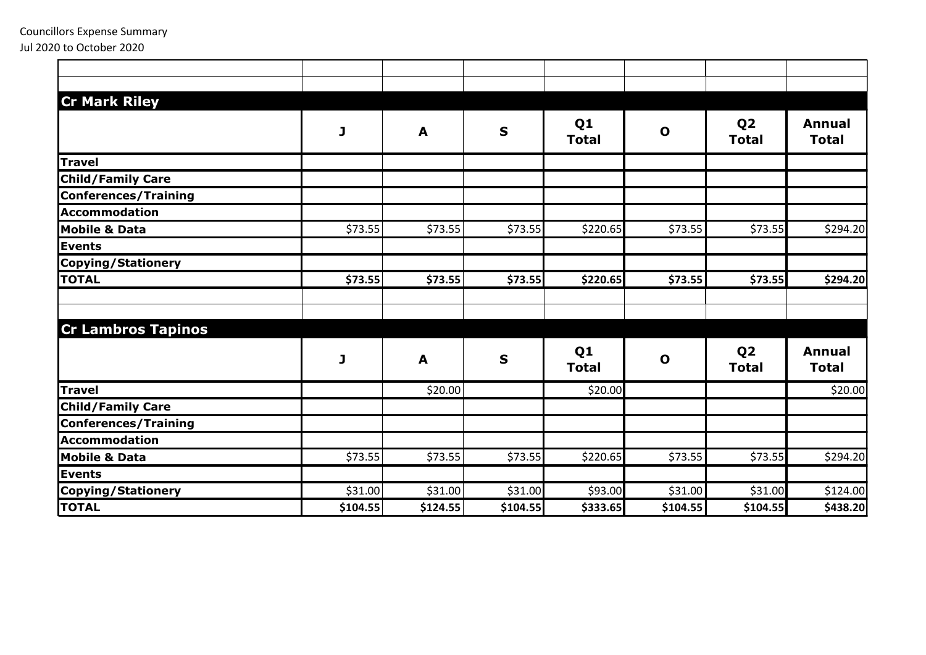| <b>Cr Mark Riley</b>        |          |          |             |                                |              |                                |                               |
|-----------------------------|----------|----------|-------------|--------------------------------|--------------|--------------------------------|-------------------------------|
|                             | J        | A        | $\mathbf S$ | Q <sub>1</sub><br><b>Total</b> | $\mathbf{o}$ | Q <sub>2</sub><br><b>Total</b> | <b>Annual</b><br><b>Total</b> |
| Travel                      |          |          |             |                                |              |                                |                               |
| <b>Child/Family Care</b>    |          |          |             |                                |              |                                |                               |
| <b>Conferences/Training</b> |          |          |             |                                |              |                                |                               |
| <b>Accommodation</b>        |          |          |             |                                |              |                                |                               |
| <b>Mobile &amp; Data</b>    | \$73.55  | \$73.55  | \$73.55     | \$220.65                       | \$73.55      | \$73.55                        | \$294.20                      |
| <b>Events</b>               |          |          |             |                                |              |                                |                               |
| <b>Copying/Stationery</b>   |          |          |             |                                |              |                                |                               |
| <b>TOTAL</b>                | \$73.55  | \$73.55  | \$73.55     | \$220.65                       | \$73.55      | \$73.55                        | \$294.20                      |
| <b>Cr Lambros Tapinos</b>   |          |          |             |                                |              |                                |                               |
|                             | J        | A        | $\mathbf S$ | Q <sub>1</sub><br><b>Total</b> | $\mathbf 0$  | Q <sub>2</sub><br><b>Total</b> | <b>Annual</b><br><b>Total</b> |
| <b>Travel</b>               |          | \$20.00  |             | \$20.00                        |              |                                | \$20.00                       |
| <b>Child/Family Care</b>    |          |          |             |                                |              |                                |                               |
| <b>Conferences/Training</b> |          |          |             |                                |              |                                |                               |
| Accommodation               |          |          |             |                                |              |                                |                               |
| <b>Mobile &amp; Data</b>    | \$73.55  | \$73.55  | \$73.55     | \$220.65                       | \$73.55      | \$73.55                        | \$294.20                      |
| <b>Events</b>               |          |          |             |                                |              |                                |                               |
| Copying/Stationery          | \$31.00  | \$31.00  | \$31.00     | \$93.00                        | \$31.00      | \$31.00                        | \$124.00                      |
| <b>TOTAL</b>                | \$104.55 | \$124.55 | \$104.55    | \$333.65                       | \$104.55     | \$104.55                       | \$438.20                      |